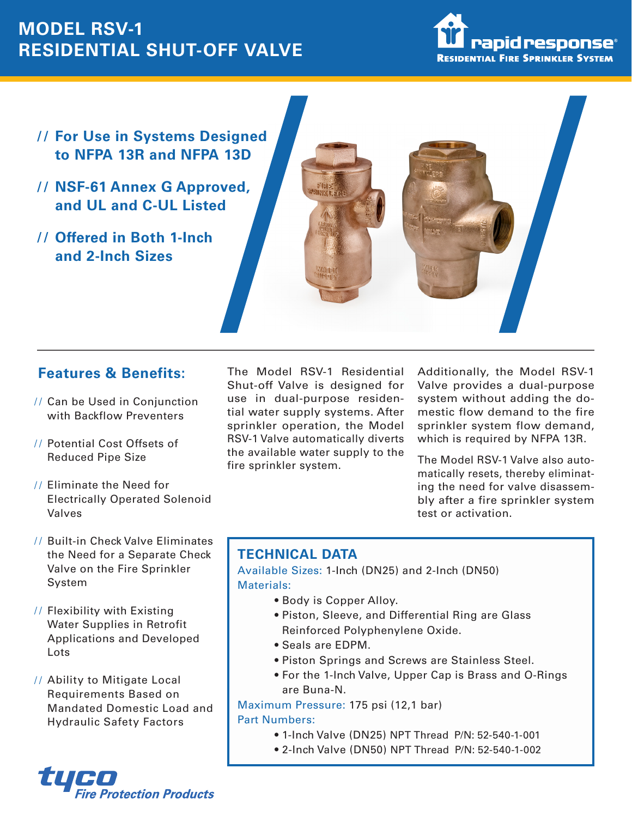## **MODEL RSV-1 RESIDENTIAL SHUT-OFF VALVE**



- **For Use in Systems Designed to NFPA 13R and NFPA 13D**
- **NSF-61 Annex G Approved, and UL and C-UL Listed**
- **Offered in Both 1-Inch and 2-Inch Sizes**



## **Features & Benefits:**

- // Can be Used in Conjunction with Backflow Preventers
- // Potential Cost Offsets of Reduced Pipe Size
- Eliminate the Need for Electrically Operated Solenoid Valves
- // Built-in Check Valve Eliminates the Need for a Separate Check Valve on the Fire Sprinkler System
- // Flexibility with Existing Water Supplies in Retrofit Applications and Developed Lots
- // Ability to Mitigate Local Requirements Based on Mandated Domestic Load and Hydraulic Safety Factors

The Model RSV-1 Residential Shut-off Valve is designed for use in dual-purpose residential water supply systems. After sprinkler operation, the Model RSV-1 Valve automatically diverts the available water supply to the fire sprinkler system.

Additionally, the Model RSV-1 Valve provides a dual-purpose system without adding the domestic flow demand to the fire sprinkler system flow demand, which is required by NFPA 13R.

The Model RSV-1 Valve also automatically resets, thereby eliminating the need for valve disassembly after a fire sprinkler system test or activation.

## **TECHNICAL DATA**

Available Sizes: 1-Inch (DN25) and 2-Inch (DN50) Materials:

- Body is Copper Alloy.
- Piston, Sleeve, and Differential Ring are Glass Reinforced Polyphenylene Oxide.
- Seals are EDPM.
- Piston Springs and Screws are Stainless Steel.
- For the 1-Inch Valve, Upper Cap is Brass and O-Rings are Buna-N.

Maximum Pressure: 175 psi (12,1 bar) Part Numbers:

- 1-Inch Valve (DN25) NPT Thread P/N: 52-540-1-001
- 2-Inch Valve (DN50) NPT Thread P/N: 52-540-1-002